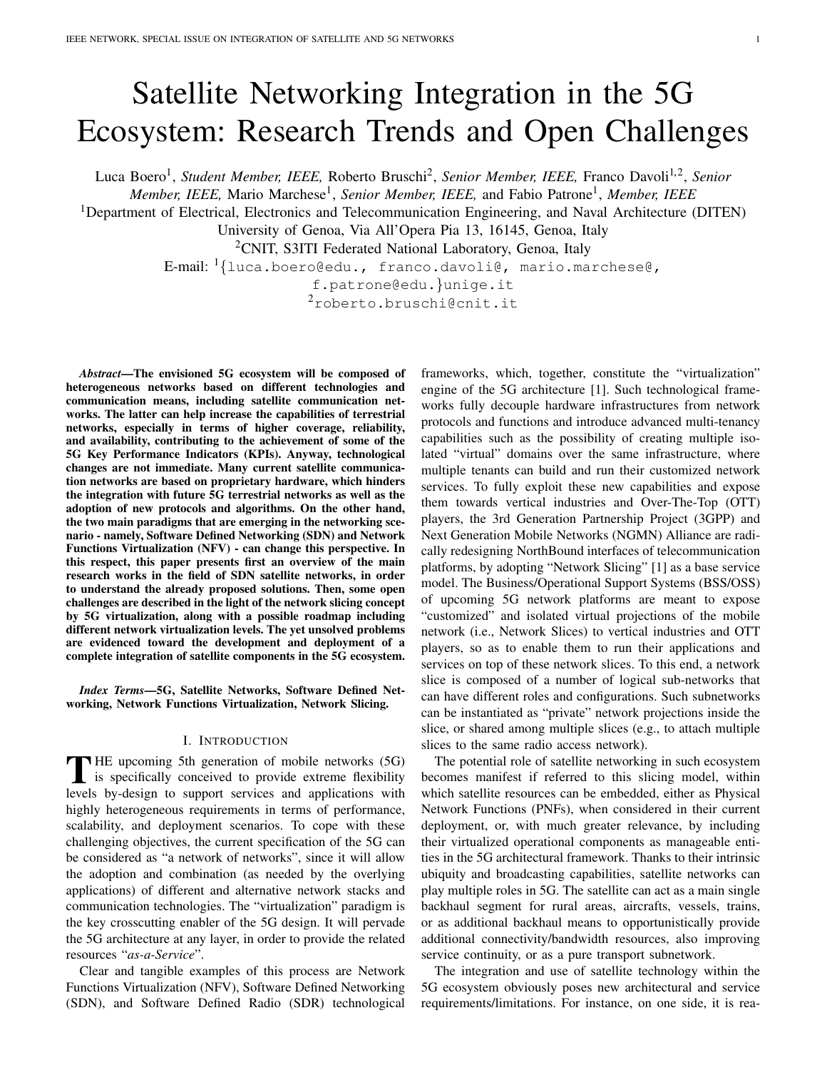# Satellite Networking Integration in the 5G Ecosystem: Research Trends and Open Challenges

Luca Boero<sup>1</sup>, *Student Member, IEEE, Roberto Bruschi<sup>2</sup>, Senior Member, IEEE, Franco Davoli<sup>1,2</sup>, <i>Senior* 

*Member, IEEE, Mario Marchese<sup>1</sup>, Senior Member, IEEE, and Fabio Patrone<sup>1</sup>, Member, IEEE* 

<sup>1</sup>Department of Electrical, Electronics and Telecommunication Engineering, and Naval Architecture (DITEN)

University of Genoa, Via All'Opera Pia 13, 16145, Genoa, Italy

<sup>2</sup>CNIT, S3ITI Federated National Laboratory, Genoa, Italy

E-mail: <sup>1</sup>{luca.boero@edu., franco.davoli@, mario.marchese@,

f.patrone@edu.}unige.it

<sup>2</sup>roberto.bruschi@cnit.it

*Abstract*—The envisioned 5G ecosystem will be composed of heterogeneous networks based on different technologies and communication means, including satellite communication networks. The latter can help increase the capabilities of terrestrial networks, especially in terms of higher coverage, reliability, and availability, contributing to the achievement of some of the 5G Key Performance Indicators (KPIs). Anyway, technological changes are not immediate. Many current satellite communication networks are based on proprietary hardware, which hinders the integration with future 5G terrestrial networks as well as the adoption of new protocols and algorithms. On the other hand, the two main paradigms that are emerging in the networking scenario - namely, Software Defined Networking (SDN) and Network Functions Virtualization (NFV) - can change this perspective. In this respect, this paper presents first an overview of the main research works in the field of SDN satellite networks, in order to understand the already proposed solutions. Then, some open challenges are described in the light of the network slicing concept by 5G virtualization, along with a possible roadmap including different network virtualization levels. The yet unsolved problems are evidenced toward the development and deployment of a complete integration of satellite components in the 5G ecosystem.

*Index Terms*—5G, Satellite Networks, Software Defined Networking, Network Functions Virtualization, Network Slicing.

### I. INTRODUCTION

THE upcoming 5th generation of mobile networks (5G)<br>is specifically conceived to provide extreme flexibility<br>laugh has design to support equipment of antibotions with **THE** upcoming 5th generation of mobile networks (5G) levels by-design to support services and applications with highly heterogeneous requirements in terms of performance, scalability, and deployment scenarios. To cope with these challenging objectives, the current specification of the 5G can be considered as "a network of networks", since it will allow the adoption and combination (as needed by the overlying applications) of different and alternative network stacks and communication technologies. The "virtualization" paradigm is the key crosscutting enabler of the 5G design. It will pervade the 5G architecture at any layer, in order to provide the related resources "*as-a-Service*".

Clear and tangible examples of this process are Network Functions Virtualization (NFV), Software Defined Networking (SDN), and Software Defined Radio (SDR) technological

frameworks, which, together, constitute the "virtualization" engine of the 5G architecture [1]. Such technological frameworks fully decouple hardware infrastructures from network protocols and functions and introduce advanced multi-tenancy capabilities such as the possibility of creating multiple isolated "virtual" domains over the same infrastructure, where multiple tenants can build and run their customized network services. To fully exploit these new capabilities and expose them towards vertical industries and Over-The-Top (OTT) players, the 3rd Generation Partnership Project (3GPP) and Next Generation Mobile Networks (NGMN) Alliance are radically redesigning NorthBound interfaces of telecommunication platforms, by adopting "Network Slicing" [1] as a base service model. The Business/Operational Support Systems (BSS/OSS) of upcoming 5G network platforms are meant to expose "customized" and isolated virtual projections of the mobile network (i.e., Network Slices) to vertical industries and OTT players, so as to enable them to run their applications and services on top of these network slices. To this end, a network slice is composed of a number of logical sub-networks that can have different roles and configurations. Such subnetworks can be instantiated as "private" network projections inside the slice, or shared among multiple slices (e.g., to attach multiple slices to the same radio access network).

The potential role of satellite networking in such ecosystem becomes manifest if referred to this slicing model, within which satellite resources can be embedded, either as Physical Network Functions (PNFs), when considered in their current deployment, or, with much greater relevance, by including their virtualized operational components as manageable entities in the 5G architectural framework. Thanks to their intrinsic ubiquity and broadcasting capabilities, satellite networks can play multiple roles in 5G. The satellite can act as a main single backhaul segment for rural areas, aircrafts, vessels, trains, or as additional backhaul means to opportunistically provide additional connectivity/bandwidth resources, also improving service continuity, or as a pure transport subnetwork.

The integration and use of satellite technology within the 5G ecosystem obviously poses new architectural and service requirements/limitations. For instance, on one side, it is rea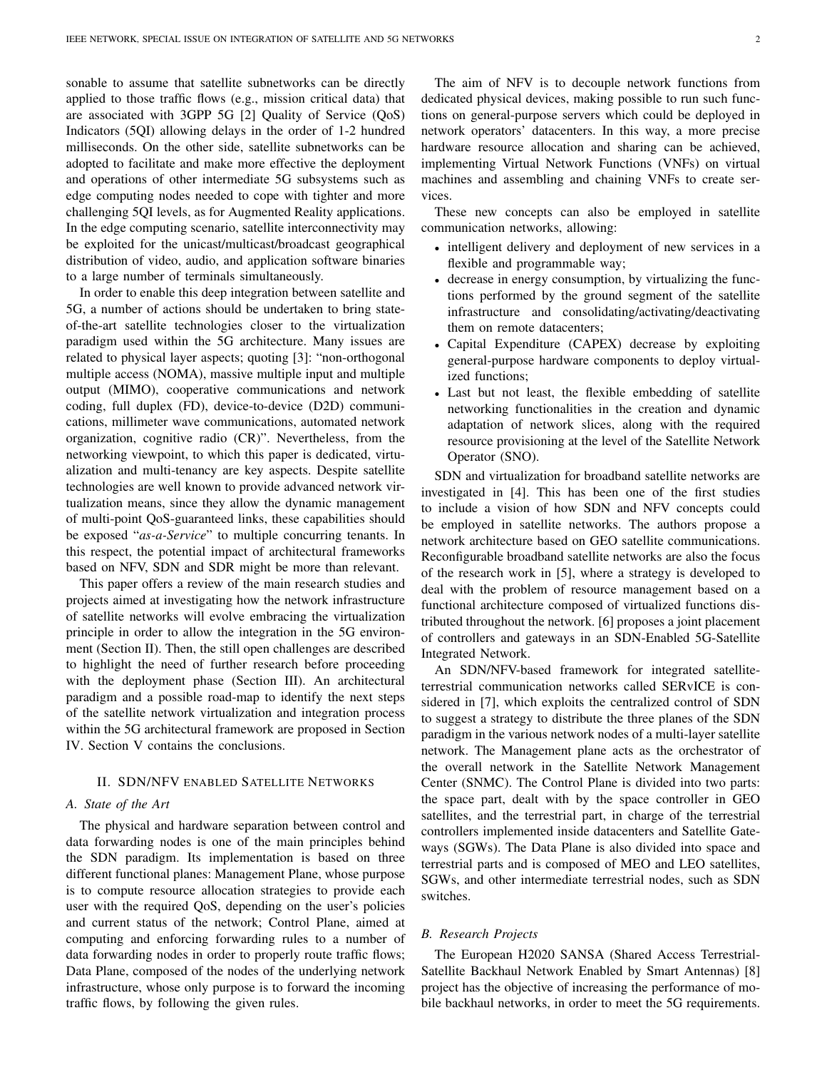sonable to assume that satellite subnetworks can be directly applied to those traffic flows (e.g., mission critical data) that are associated with 3GPP 5G [2] Quality of Service (QoS) Indicators (5QI) allowing delays in the order of 1-2 hundred milliseconds. On the other side, satellite subnetworks can be adopted to facilitate and make more effective the deployment and operations of other intermediate 5G subsystems such as edge computing nodes needed to cope with tighter and more challenging 5QI levels, as for Augmented Reality applications. In the edge computing scenario, satellite interconnectivity may be exploited for the unicast/multicast/broadcast geographical distribution of video, audio, and application software binaries to a large number of terminals simultaneously.

In order to enable this deep integration between satellite and 5G, a number of actions should be undertaken to bring stateof-the-art satellite technologies closer to the virtualization paradigm used within the 5G architecture. Many issues are related to physical layer aspects; quoting [3]: "non-orthogonal multiple access (NOMA), massive multiple input and multiple output (MIMO), cooperative communications and network coding, full duplex (FD), device-to-device (D2D) communications, millimeter wave communications, automated network organization, cognitive radio (CR)". Nevertheless, from the networking viewpoint, to which this paper is dedicated, virtualization and multi-tenancy are key aspects. Despite satellite technologies are well known to provide advanced network virtualization means, since they allow the dynamic management of multi-point QoS-guaranteed links, these capabilities should be exposed "*as-a-Service*" to multiple concurring tenants. In this respect, the potential impact of architectural frameworks based on NFV, SDN and SDR might be more than relevant.

This paper offers a review of the main research studies and projects aimed at investigating how the network infrastructure of satellite networks will evolve embracing the virtualization principle in order to allow the integration in the 5G environment (Section II). Then, the still open challenges are described to highlight the need of further research before proceeding with the deployment phase (Section III). An architectural paradigm and a possible road-map to identify the next steps of the satellite network virtualization and integration process within the 5G architectural framework are proposed in Section IV. Section V contains the conclusions.

# II. SDN/NFV ENABLED SATELLITE NETWORKS

# *A. State of the Art*

The physical and hardware separation between control and data forwarding nodes is one of the main principles behind the SDN paradigm. Its implementation is based on three different functional planes: Management Plane, whose purpose is to compute resource allocation strategies to provide each user with the required QoS, depending on the user's policies and current status of the network; Control Plane, aimed at computing and enforcing forwarding rules to a number of data forwarding nodes in order to properly route traffic flows; Data Plane, composed of the nodes of the underlying network infrastructure, whose only purpose is to forward the incoming traffic flows, by following the given rules.

The aim of NFV is to decouple network functions from dedicated physical devices, making possible to run such functions on general-purpose servers which could be deployed in network operators' datacenters. In this way, a more precise hardware resource allocation and sharing can be achieved, implementing Virtual Network Functions (VNFs) on virtual machines and assembling and chaining VNFs to create services.

These new concepts can also be employed in satellite communication networks, allowing:

- intelligent delivery and deployment of new services in a flexible and programmable way;
- decrease in energy consumption, by virtualizing the functions performed by the ground segment of the satellite infrastructure and consolidating/activating/deactivating them on remote datacenters;
- Capital Expenditure (CAPEX) decrease by exploiting general-purpose hardware components to deploy virtualized functions;
- Last but not least, the flexible embedding of satellite networking functionalities in the creation and dynamic adaptation of network slices, along with the required resource provisioning at the level of the Satellite Network Operator (SNO).

SDN and virtualization for broadband satellite networks are investigated in [4]. This has been one of the first studies to include a vision of how SDN and NFV concepts could be employed in satellite networks. The authors propose a network architecture based on GEO satellite communications. Reconfigurable broadband satellite networks are also the focus of the research work in [5], where a strategy is developed to deal with the problem of resource management based on a functional architecture composed of virtualized functions distributed throughout the network. [6] proposes a joint placement of controllers and gateways in an SDN-Enabled 5G-Satellite Integrated Network.

An SDN/NFV-based framework for integrated satelliteterrestrial communication networks called SERvICE is considered in [7], which exploits the centralized control of SDN to suggest a strategy to distribute the three planes of the SDN paradigm in the various network nodes of a multi-layer satellite network. The Management plane acts as the orchestrator of the overall network in the Satellite Network Management Center (SNMC). The Control Plane is divided into two parts: the space part, dealt with by the space controller in GEO satellites, and the terrestrial part, in charge of the terrestrial controllers implemented inside datacenters and Satellite Gateways (SGWs). The Data Plane is also divided into space and terrestrial parts and is composed of MEO and LEO satellites, SGWs, and other intermediate terrestrial nodes, such as SDN switches.

# *B. Research Projects*

The European H2020 SANSA (Shared Access Terrestrial-Satellite Backhaul Network Enabled by Smart Antennas) [8] project has the objective of increasing the performance of mobile backhaul networks, in order to meet the 5G requirements.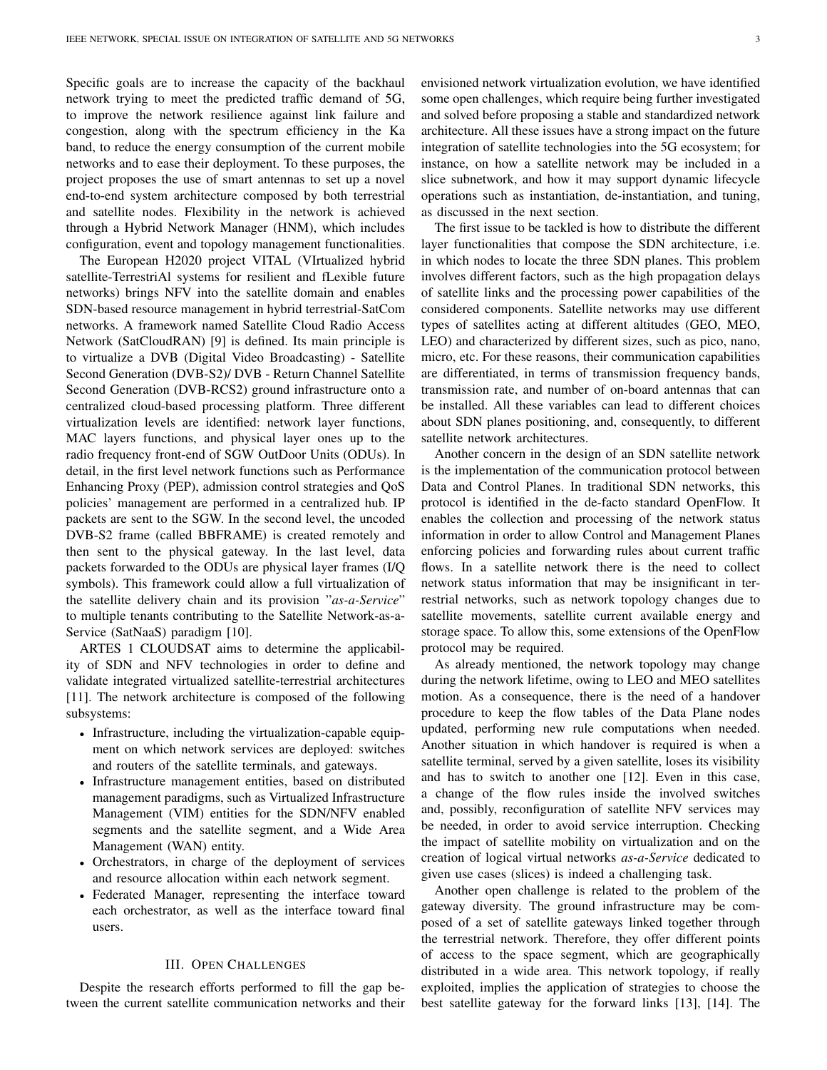Specific goals are to increase the capacity of the backhaul network trying to meet the predicted traffic demand of 5G, to improve the network resilience against link failure and congestion, along with the spectrum efficiency in the Ka band, to reduce the energy consumption of the current mobile networks and to ease their deployment. To these purposes, the project proposes the use of smart antennas to set up a novel end-to-end system architecture composed by both terrestrial and satellite nodes. Flexibility in the network is achieved through a Hybrid Network Manager (HNM), which includes configuration, event and topology management functionalities.

The European H2020 project VITAL (VIrtualized hybrid satellite-TerrestriAl systems for resilient and fLexible future networks) brings NFV into the satellite domain and enables SDN-based resource management in hybrid terrestrial-SatCom networks. A framework named Satellite Cloud Radio Access Network (SatCloudRAN) [9] is defined. Its main principle is to virtualize a DVB (Digital Video Broadcasting) - Satellite Second Generation (DVB-S2)/ DVB - Return Channel Satellite Second Generation (DVB-RCS2) ground infrastructure onto a centralized cloud-based processing platform. Three different virtualization levels are identified: network layer functions, MAC layers functions, and physical layer ones up to the radio frequency front-end of SGW OutDoor Units (ODUs). In detail, in the first level network functions such as Performance Enhancing Proxy (PEP), admission control strategies and QoS policies' management are performed in a centralized hub. IP packets are sent to the SGW. In the second level, the uncoded DVB-S2 frame (called BBFRAME) is created remotely and then sent to the physical gateway. In the last level, data packets forwarded to the ODUs are physical layer frames (I/Q symbols). This framework could allow a full virtualization of the satellite delivery chain and its provision "*as-a-Service*" to multiple tenants contributing to the Satellite Network-as-a-Service (SatNaaS) paradigm [10].

ARTES 1 CLOUDSAT aims to determine the applicability of SDN and NFV technologies in order to define and validate integrated virtualized satellite-terrestrial architectures [11]. The network architecture is composed of the following subsystems:

- Infrastructure, including the virtualization-capable equipment on which network services are deployed: switches and routers of the satellite terminals, and gateways.
- Infrastructure management entities, based on distributed management paradigms, such as Virtualized Infrastructure Management (VIM) entities for the SDN/NFV enabled segments and the satellite segment, and a Wide Area Management (WAN) entity.
- Orchestrators, in charge of the deployment of services and resource allocation within each network segment.
- Federated Manager, representing the interface toward each orchestrator, as well as the interface toward final users.

# III. OPEN CHALLENGES

Despite the research efforts performed to fill the gap between the current satellite communication networks and their envisioned network virtualization evolution, we have identified some open challenges, which require being further investigated and solved before proposing a stable and standardized network architecture. All these issues have a strong impact on the future integration of satellite technologies into the 5G ecosystem; for instance, on how a satellite network may be included in a slice subnetwork, and how it may support dynamic lifecycle operations such as instantiation, de-instantiation, and tuning, as discussed in the next section.

The first issue to be tackled is how to distribute the different layer functionalities that compose the SDN architecture, i.e. in which nodes to locate the three SDN planes. This problem involves different factors, such as the high propagation delays of satellite links and the processing power capabilities of the considered components. Satellite networks may use different types of satellites acting at different altitudes (GEO, MEO, LEO) and characterized by different sizes, such as pico, nano, micro, etc. For these reasons, their communication capabilities are differentiated, in terms of transmission frequency bands, transmission rate, and number of on-board antennas that can be installed. All these variables can lead to different choices about SDN planes positioning, and, consequently, to different satellite network architectures.

Another concern in the design of an SDN satellite network is the implementation of the communication protocol between Data and Control Planes. In traditional SDN networks, this protocol is identified in the de-facto standard OpenFlow. It enables the collection and processing of the network status information in order to allow Control and Management Planes enforcing policies and forwarding rules about current traffic flows. In a satellite network there is the need to collect network status information that may be insignificant in terrestrial networks, such as network topology changes due to satellite movements, satellite current available energy and storage space. To allow this, some extensions of the OpenFlow protocol may be required.

As already mentioned, the network topology may change during the network lifetime, owing to LEO and MEO satellites motion. As a consequence, there is the need of a handover procedure to keep the flow tables of the Data Plane nodes updated, performing new rule computations when needed. Another situation in which handover is required is when a satellite terminal, served by a given satellite, loses its visibility and has to switch to another one [12]. Even in this case, a change of the flow rules inside the involved switches and, possibly, reconfiguration of satellite NFV services may be needed, in order to avoid service interruption. Checking the impact of satellite mobility on virtualization and on the creation of logical virtual networks *as-a-Service* dedicated to given use cases (slices) is indeed a challenging task.

Another open challenge is related to the problem of the gateway diversity. The ground infrastructure may be composed of a set of satellite gateways linked together through the terrestrial network. Therefore, they offer different points of access to the space segment, which are geographically distributed in a wide area. This network topology, if really exploited, implies the application of strategies to choose the best satellite gateway for the forward links [13], [14]. The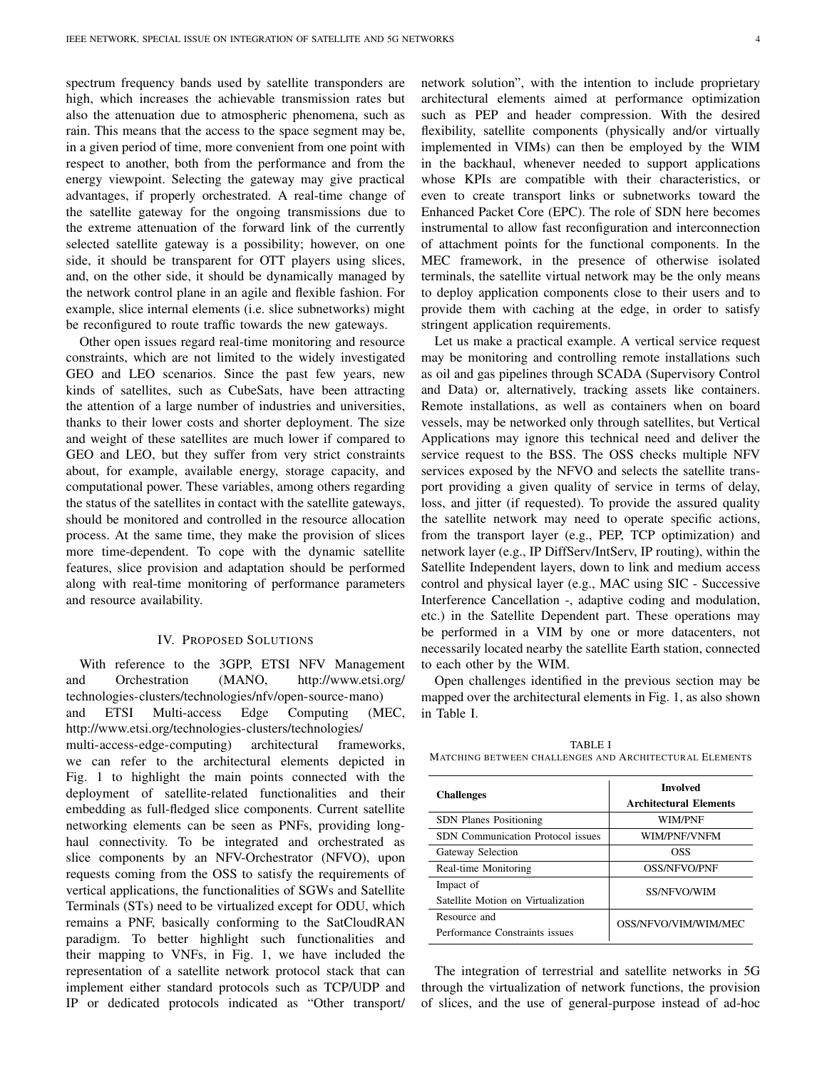spectrum frequency bands used by satellite transponders are high, which increases the achievable transmission rates but also the attenuation due to atmospheric phenomena, such as rain. This means that the access to the space segment may be, in a given period of time, more convenient from one point with respect to another, both from the performance and from the energy viewpoint. Selecting the gateway may give practical advantages, if properly orchestrated. A real-time change of the satellite gateway for the ongoing transmissions due to the extreme attenuation of the forward link of the currently selected satellite gateway is a possibility; however, on one side, it should be transparent for OTT players using slices, and, on the other side, it should be dynamically managed by the network control plane in an agile and flexible fashion. For example, slice internal elements (i.e. slice subnetworks) might be reconfigured to route traffic towards the new gateways.

Other open issues regard real-time monitoring and resource constraints, which are not limited to the widely investigated GEO and LEO scenarios. Since the past few years, new kinds of satellites, such as CubeSats, have been attracting the attention of a large number of industries and universities, thanks to their lower costs and shorter deployment. The size and weight of these satellites are much lower if compared to GEO and LEO, but they suffer from very strict constraints about, for example, available energy, storage capacity, and computational power. These variables, among others regarding the status of the satellites in contact with the satellite gateways, should be monitored and controlled in the resource allocation process. At the same time, they make the provision of slices more time-dependent. To cope with the dynamic satellite features, slice provision and adaptation should be performed along with real-time monitoring of performance parameters and resource availability.

### IV. PROPOSED SOLUTIONS

With reference to the 3GPP, ETSI NFV Management and Orchestration (MANO, http://www.etsi.org/ technologies-clusters/technologies/nfv/open-source-mano) and ETSI Multi-access Edge Computing (MEC, http://www.etsi.org/technologies-clusters/technologies/ multi-access-edge-computing) architectural frameworks, we can refer to the architectural elements depicted in Fig. 1 to highlight the main points connected with the deployment of satellite-related functionalities and their embedding as full-fledged slice components. Current satellite networking elements can be seen as PNFs, providing longhaul connectivity. To be integrated and orchestrated as slice components by an NFV-Orchestrator (NFVO), upon requests coming from the OSS to satisfy the requirements of vertical applications, the functionalities of SGWs and Satellite Terminals (STs) need to be virtualized except for ODU, which remains a PNF, basically conforming to the SatCloudRAN paradigm. To better highlight such functionalities and their mapping to VNFs, in Fig. 1, we have included the representation of a satellite network protocol stack that can implement either standard protocols such as TCP/UDP and IP or dedicated protocols indicated as "Other transport/ network solution", with the intention to include proprietary architectural elements aimed at performance optimization such as PEP and header compression. With the desired flexibility, satellite components (physically and/or virtually implemented in VIMs) can then be employed by the WIM in the backhaul, whenever needed to support applications whose KPIs are compatible with their characteristics, or even to create transport links or subnetworks toward the Enhanced Packet Core (EPC). The role of SDN here becomes instrumental to allow fast reconfiguration and interconnection of attachment points for the functional components. In the MEC framework, in the presence of otherwise isolated terminals, the satellite virtual network may be the only means to deploy application components close to their users and to provide them with caching at the edge, in order to satisfy stringent application requirements.

Let us make a practical example. A vertical service request may be monitoring and controlling remote installations such as oil and gas pipelines through SCADA (Supervisory Control and Data) or, alternatively, tracking assets like containers. Remote installations, as well as containers when on board vessels, may be networked only through satellites, but Vertical Applications may ignore this technical need and deliver the service request to the BSS. The OSS checks multiple NFV services exposed by the NFVO and selects the satellite transport providing a given quality of service in terms of delay, loss, and jitter (if requested). To provide the assured quality the satellite network may need to operate specific actions, from the transport layer (e.g., PEP, TCP optimization) and network layer (e.g., IP DiffServ/IntServ, IP routing), within the Satellite Independent layers, down to link and medium access control and physical layer (e.g., MAC using SIC - Successive Interference Cancellation -, adaptive coding and modulation, etc.) in the Satellite Dependent part. These operations may be performed in a VIM by one or more datacenters, not necessarily located nearby the satellite Earth station, connected to each other by the WIM.

Open challenges identified in the previous section may be mapped over the architectural elements in Fig. 1, as also shown in Table I.

| <b>Challenges</b>                               | <b>Involved</b><br><b>Architectural Elements</b> |
|-------------------------------------------------|--------------------------------------------------|
| <b>SDN</b> Planes Positioning                   | WIM/PNF                                          |
| <b>SDN</b> Communication Protocol issues        | WIM/PNF/VNFM                                     |
| Gateway Selection                               | OSS                                              |
| Real-time Monitoring                            | OSS/NFVO/PNF                                     |
| Impact of<br>Satellite Motion on Virtualization | <b>SS/NFVO/WIM</b>                               |
| Resource and<br>Performance Constraints issues  | OSS/NFVO/VIM/WIM/MEC                             |

TABLE I MATCHING BETWEEN CHALLENGES AND ARCHITECTURAL ELEMENTS

The integration of terrestrial and satellite networks in 5G through the virtualization of network functions, the provision of slices, and the use of general-purpose instead of ad-hoc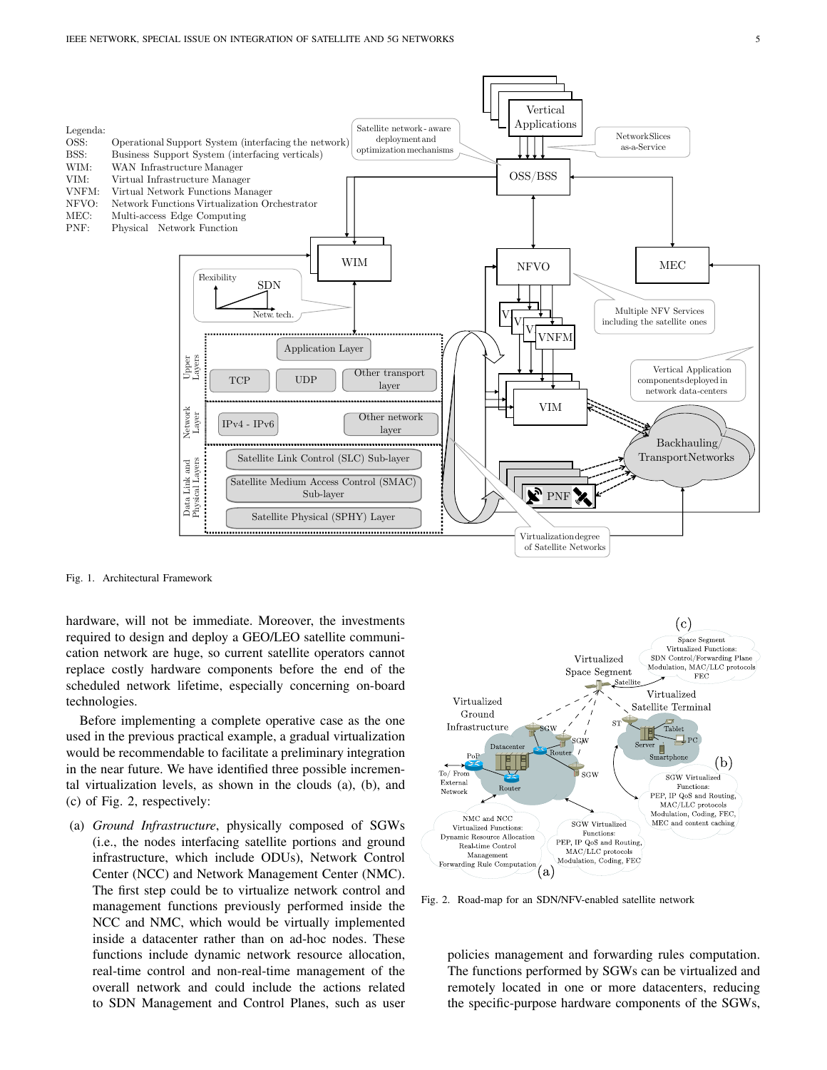

Fig. 1. Architectural Framework

hardware, will not be immediate. Moreover, the investments required to design and deploy a GEO/LEO satellite communication network are huge, so current satellite operators cannot replace costly hardware components before the end of the scheduled network lifetime, especially concerning on-board technologies.

Before implementing a complete operative case as the one used in the previous practical example, a gradual virtualization would be recommendable to facilitate a preliminary integration in the near future. We have identified three possible incremental virtualization levels, as shown in the clouds (a), (b), and (c) of Fig. 2, respectively:

(a) *Ground Infrastructure*, physically composed of SGWs (i.e., the nodes interfacing satellite portions and ground infrastructure, which include ODUs), Network Control Center (NCC) and Network Management Center (NMC). The first step could be to virtualize network control and management functions previously performed inside the NCC and NMC, which would be virtually implemented inside a datacenter rather than on ad-hoc nodes. These functions include dynamic network resource allocation, real-time control and non-real-time management of the overall network and could include the actions related to SDN Management and Control Planes, such as user



Fig. 2. Road-map for an SDN/NFV-enabled satellite network

policies management and forwarding rules computation. The functions performed by SGWs can be virtualized and remotely located in one or more datacenters, reducing the specific-purpose hardware components of the SGWs,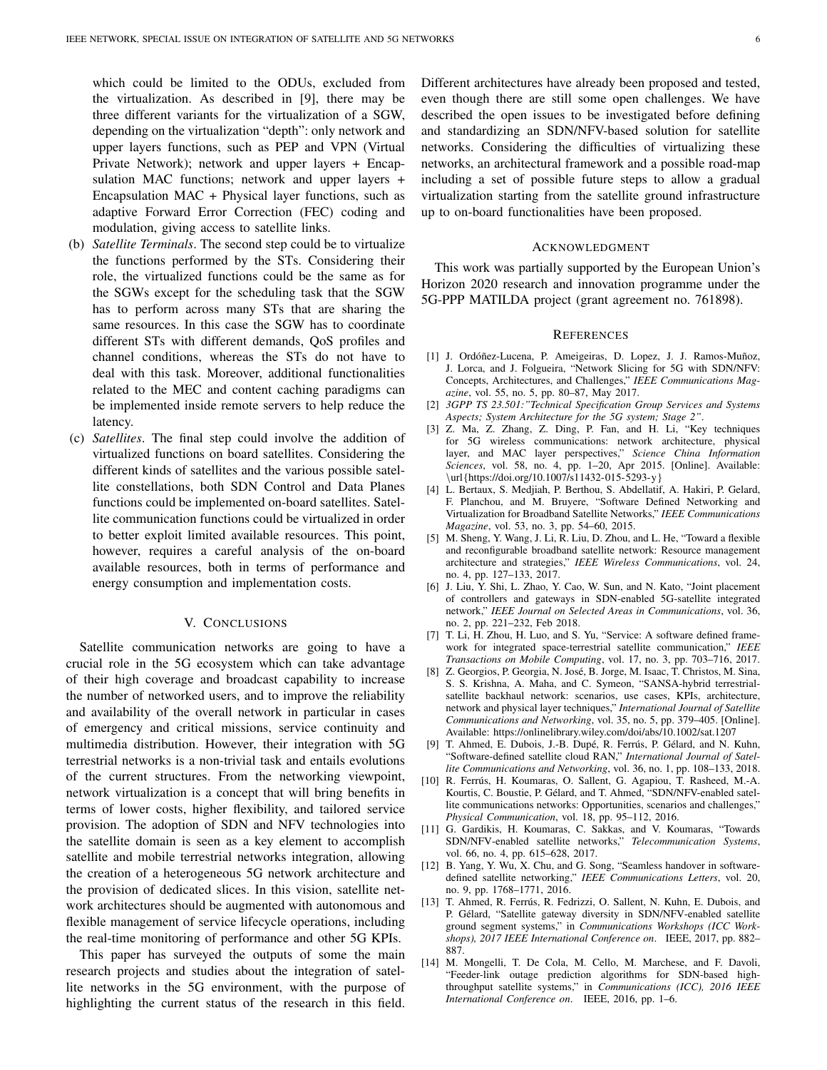which could be limited to the ODUs, excluded from the virtualization. As described in [9], there may be three different variants for the virtualization of a SGW, depending on the virtualization "depth": only network and upper layers functions, such as PEP and VPN (Virtual Private Network); network and upper layers + Encapsulation MAC functions; network and upper layers + Encapsulation MAC + Physical layer functions, such as adaptive Forward Error Correction (FEC) coding and modulation, giving access to satellite links.

- (b) *Satellite Terminals*. The second step could be to virtualize the functions performed by the STs. Considering their role, the virtualized functions could be the same as for the SGWs except for the scheduling task that the SGW has to perform across many STs that are sharing the same resources. In this case the SGW has to coordinate different STs with different demands, QoS profiles and channel conditions, whereas the STs do not have to deal with this task. Moreover, additional functionalities related to the MEC and content caching paradigms can be implemented inside remote servers to help reduce the latency.
- (c) *Satellites*. The final step could involve the addition of virtualized functions on board satellites. Considering the different kinds of satellites and the various possible satellite constellations, both SDN Control and Data Planes functions could be implemented on-board satellites. Satellite communication functions could be virtualized in order to better exploit limited available resources. This point, however, requires a careful analysis of the on-board available resources, both in terms of performance and energy consumption and implementation costs.

## V. CONCLUSIONS

Satellite communication networks are going to have a crucial role in the 5G ecosystem which can take advantage of their high coverage and broadcast capability to increase the number of networked users, and to improve the reliability and availability of the overall network in particular in cases of emergency and critical missions, service continuity and multimedia distribution. However, their integration with 5G terrestrial networks is a non-trivial task and entails evolutions of the current structures. From the networking viewpoint, network virtualization is a concept that will bring benefits in terms of lower costs, higher flexibility, and tailored service provision. The adoption of SDN and NFV technologies into the satellite domain is seen as a key element to accomplish satellite and mobile terrestrial networks integration, allowing the creation of a heterogeneous 5G network architecture and the provision of dedicated slices. In this vision, satellite network architectures should be augmented with autonomous and flexible management of service lifecycle operations, including the real-time monitoring of performance and other 5G KPIs.

This paper has surveyed the outputs of some the main research projects and studies about the integration of satellite networks in the 5G environment, with the purpose of highlighting the current status of the research in this field. Different architectures have already been proposed and tested, even though there are still some open challenges. We have described the open issues to be investigated before defining and standardizing an SDN/NFV-based solution for satellite networks. Considering the difficulties of virtualizing these networks, an architectural framework and a possible road-map including a set of possible future steps to allow a gradual virtualization starting from the satellite ground infrastructure up to on-board functionalities have been proposed.

## ACKNOWLEDGMENT

This work was partially supported by the European Union's Horizon 2020 research and innovation programme under the 5G-PPP MATILDA project (grant agreement no. 761898).

#### **REFERENCES**

- [1] J. Ordóñez-Lucena, P. Ameigeiras, D. Lopez, J. J. Ramos-Muñoz, J. Lorca, and J. Folgueira, "Network Slicing for 5G with SDN/NFV: Concepts, Architectures, and Challenges," *IEEE Communications Magazine*, vol. 55, no. 5, pp. 80–87, May 2017.
- [2] *3GPP TS 23.501:"Technical Specification Group Services and Systems Aspects; System Architecture for the 5G system; Stage 2"*.
- [3] Z. Ma, Z. Zhang, Z. Ding, P. Fan, and H. Li, "Key techniques for 5G wireless communications: network architecture, physical layer, and MAC layer perspectives," *Science China Information Sciences*, vol. 58, no. 4, pp. 1–20, Apr 2015. [Online]. Available: \url{https://doi.org/10.1007/s11432-015-5293-y}
- [4] L. Bertaux, S. Medjiah, P. Berthou, S. Abdellatif, A. Hakiri, P. Gelard, F. Planchou, and M. Bruyere, "Software Defined Networking and Virtualization for Broadband Satellite Networks," *IEEE Communications Magazine*, vol. 53, no. 3, pp. 54–60, 2015.
- [5] M. Sheng, Y. Wang, J. Li, R. Liu, D. Zhou, and L. He, "Toward a flexible and reconfigurable broadband satellite network: Resource management architecture and strategies," *IEEE Wireless Communications*, vol. 24, no. 4, pp. 127–133, 2017.
- [6] J. Liu, Y. Shi, L. Zhao, Y. Cao, W. Sun, and N. Kato, "Joint placement of controllers and gateways in SDN-enabled 5G-satellite integrated network," *IEEE Journal on Selected Areas in Communications*, vol. 36, no. 2, pp. 221–232, Feb 2018.
- [7] T. Li, H. Zhou, H. Luo, and S. Yu, "Service: A software defined framework for integrated space-terrestrial satellite communication," *IEEE Transactions on Mobile Computing*, vol. 17, no. 3, pp. 703–716, 2017.
- [8] Z. Georgios, P. Georgia, N. José, B. Jorge, M. Isaac, T. Christos, M. Sina, S. S. Krishna, A. Maha, and C. Symeon, "SANSA-hybrid terrestrialsatellite backhaul network: scenarios, use cases, KPIs, architecture, network and physical layer techniques," *International Journal of Satellite Communications and Networking*, vol. 35, no. 5, pp. 379–405. [Online]. Available: https://onlinelibrary.wiley.com/doi/abs/10.1002/sat.1207
- [9] T. Ahmed, E. Dubois, J.-B. Dupé, R. Ferrús, P. Gélard, and N. Kuhn, "Software-defined satellite cloud RAN," *International Journal of Satellite Communications and Networking*, vol. 36, no. 1, pp. 108–133, 2018.
- [10] R. Ferrús, H. Koumaras, O. Sallent, G. Agapiou, T. Rasheed, M.-A. Kourtis, C. Boustie, P. Gelard, and T. Ahmed, "SDN/NFV-enabled satel- ´ lite communications networks: Opportunities, scenarios and challenges," *Physical Communication*, vol. 18, pp. 95–112, 2016.
- [11] G. Gardikis, H. Koumaras, C. Sakkas, and V. Koumaras, "Towards SDN/NFV-enabled satellite networks," *Telecommunication Systems*, vol. 66, no. 4, pp. 615–628, 2017.
- [12] B. Yang, Y. Wu, X. Chu, and G. Song, "Seamless handover in softwaredefined satellite networking," *IEEE Communications Letters*, vol. 20, no. 9, pp. 1768–1771, 2016.
- [13] T. Ahmed, R. Ferrús, R. Fedrizzi, O. Sallent, N. Kuhn, E. Dubois, and P. Gélard, "Satellite gateway diversity in SDN/NFV-enabled satellite ground segment systems," in *Communications Workshops (ICC Workshops), 2017 IEEE International Conference on*. IEEE, 2017, pp. 882– 887.
- [14] M. Mongelli, T. De Cola, M. Cello, M. Marchese, and F. Davoli, "Feeder-link outage prediction algorithms for SDN-based highthroughput satellite systems," in *Communications (ICC), 2016 IEEE International Conference on*. IEEE, 2016, pp. 1–6.